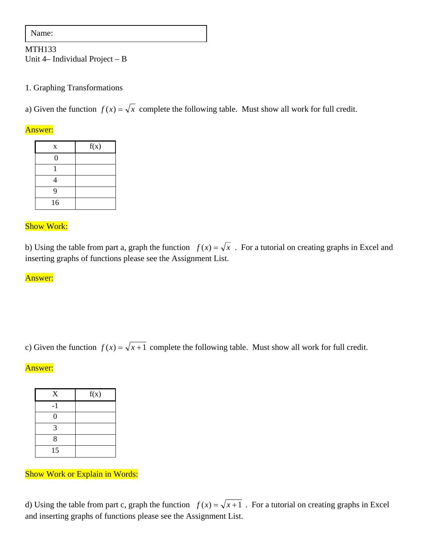Name:

## MTH133 Unit 4– Individual Project – B

### 1. Graphing Transformations

a) Given the function  $f(x) = \sqrt{x}$  complete the following table. Must show all work for full credit.

#### Answer:

| X  | f(x) |  |
|----|------|--|
| 0  |      |  |
|    |      |  |
|    |      |  |
| 9  |      |  |
| 16 |      |  |

## Show Work:

b) Using the table from part a, graph the function  $f(x) = \sqrt{x}$ . For a tutorial on creating graphs in Excel and inserting graphs of functions please see the Assignment List.

#### Answer:

c) Given the function  $f(x) = \sqrt{x+1}$  complete the following table. Must show all work for full credit.

#### Answer:

| $\mathbf X$   | f(x) |  |
|---------------|------|--|
| -1            |      |  |
| 0             |      |  |
| $\mathcal{L}$ |      |  |
| 8             |      |  |
| 15            |      |  |

# Show Work or Explain in Words:

d) Using the table from part c, graph the function  $f(x) = \sqrt{x+1}$ . For a tutorial on creating graphs in Excel and inserting graphs of functions please see the Assignment List.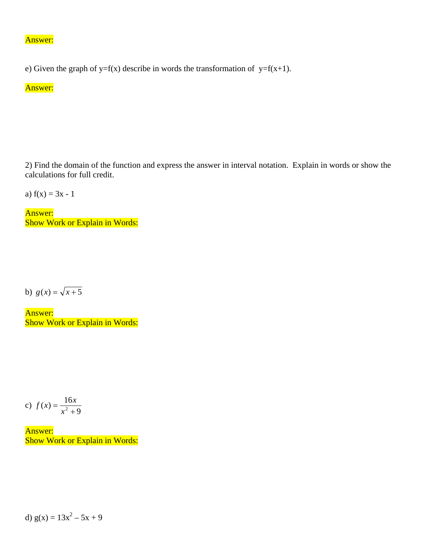#### Answer:

e) Given the graph of y=f(x) describe in words the transformation of y=f(x+1).

# Answer:

2) Find the domain of the function and express the answer in interval notation. Explain in words or show the calculations for full credit.

a)  $f(x) = 3x - 1$ 

Answer: Show Work or Explain in Words:

b)  $g(x) = \sqrt{x+5}$ 

Answer: Show Work or Explain in Words:

c) 
$$
f(x) = \frac{16x}{x^2 + 9}
$$

Answer: Show Work or Explain in Words:

d)  $g(x) = 13x^2 - 5x + 9$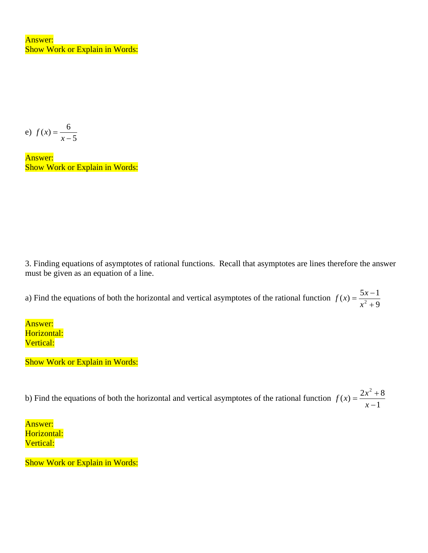Answer: Show Work or Explain in Words:

e) 
$$
f(x) = \frac{6}{x-5}
$$

Answer: Show Work or Explain in Words:

3. Finding equations of asymptotes of rational functions. Recall that asymptotes are lines therefore the answer must be given as an equation of a line.

a) Find the equations of both the horizontal and vertical asymptotes of the rational function  $f(x) = \frac{5x-1}{x^2+9}$ 

Answer: Horizontal: Vertical:

Show Work or Explain in Words:

b) Find the equations of both the horizontal and vertical asymptotes of the rational function  $f(x) = \frac{2x^2 + 8}{x - 1}$  $f(x) = \frac{2x^2 + 1}{x-1}$ 

Answer: Horizontal: Vertical:

Show Work or Explain in Words: